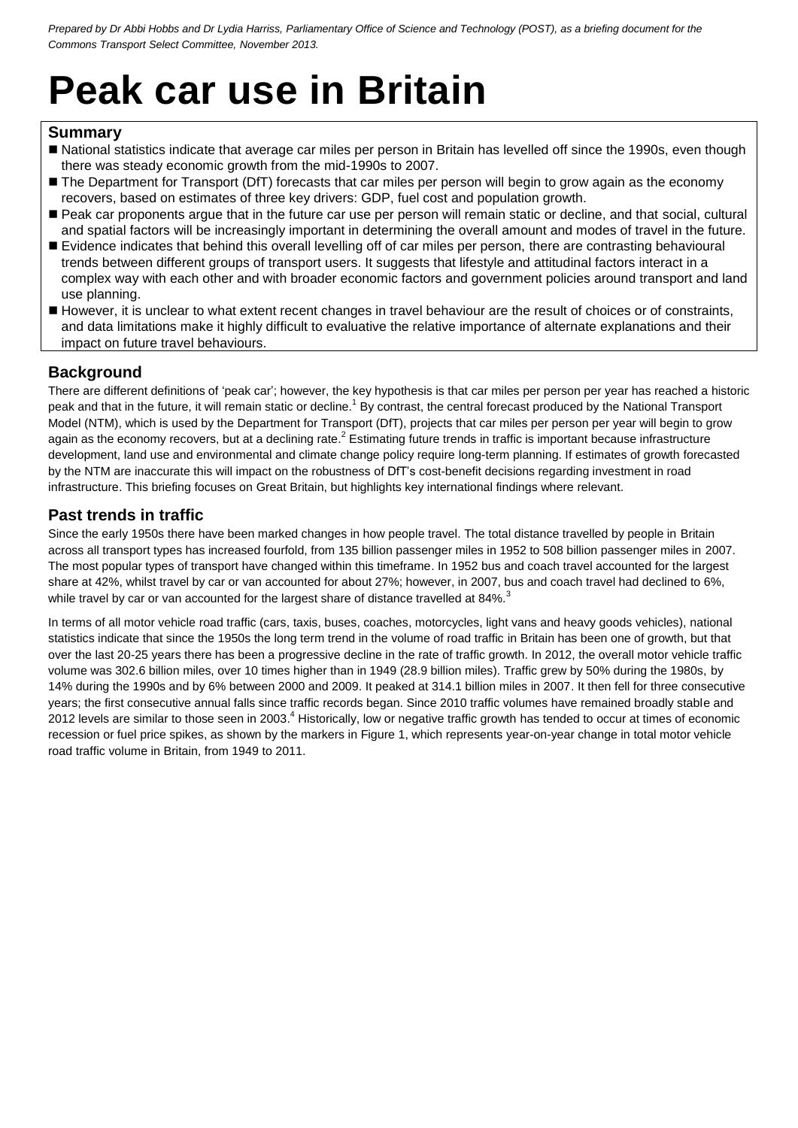# **Peak car use in Britain**

## **Summary**

- National statistics indicate that average car miles per person in Britain has levelled off since the 1990s, even though there was steady economic growth from the mid-1990s to 2007.
- The Department for Transport (DfT) forecasts that car miles per person will begin to grow again as the economy recovers, based on estimates of three key drivers: GDP, fuel cost and population growth.
- Peak car proponents argue that in the future car use per person will remain static or decline, and that social, cultural and spatial factors will be increasingly important in determining the overall amount and modes of travel in the future.
- Evidence indicates that behind this overall levelling off of car miles per person, there are contrasting behavioural trends between different groups of transport users. It suggests that lifestyle and attitudinal factors interact in a complex way with each other and with broader economic factors and government policies around transport and land use planning.
- However, it is unclear to what extent recent changes in travel behaviour are the result of choices or of constraints, and data limitations make it highly difficult to evaluative the relative importance of alternate explanations and their impact on future travel behaviours.

# **Background**

There are different definitions of 'peak car'; however, the key hypothesis is that car miles per person per year has reached a historic peak and that in the future, it will remain static or decline.<sup>1</sup> By contrast, the central forecast produced by the National Transport Model (NTM), which is used by the Department for Transport (DfT), projects that car miles per person per year will begin to grow again as the economy recovers, but at a declining rate.<sup>2</sup> Estimating future trends in traffic is important because infrastructure development, land use and environmental and climate change policy require long-term planning. If estimates of growth forecasted by the NTM are inaccurate this will impact on the robustness of DfT's cost-benefit decisions regarding investment in road infrastructure. This briefing focuses on Great Britain, but highlights key international findings where relevant.

# **Past trends in traffic**

Since the early 1950s there have been marked changes in how people travel. The total distance travelled by people in Britain across all transport types has increased fourfold, from 135 billion passenger miles in 1952 to 508 billion passenger miles in 2007. The most popular types of transport have changed within this timeframe. In 1952 bus and coach travel accounted for the largest share at 42%, whilst travel by car or van accounted for about 27%; however, in 2007, bus and coach travel had declined to 6%, while travel by car or van accounted for the largest share of distance travelled at 84%.<sup>3</sup>

In terms of all motor vehicle road traffic (cars, taxis, buses, coaches, motorcycles, light vans and heavy goods vehicles), national statistics indicate that since the 1950s the long term trend in the volume of road traffic in Britain has been one of growth, but that over the last 20-25 years there has been a progressive decline in the rate of traffic growth. In 2012, the overall motor vehicle traffic volume was 302.6 billion miles, over 10 times higher than in 1949 (28.9 billion miles). Traffic grew by 50% during the 1980s, by 14% during the 1990s and by 6% between 2000 and 2009. It peaked at 314.1 billion miles in 2007. It then fell for three consecutive years; the first consecutive annual falls since traffic records began. Since 2010 traffic volumes have remained broadly stable and 2012 levels are similar to those seen in 2003.<sup>4</sup> Historically, low or negative traffic growth has tended to occur at times of economic recession or fuel price spikes, as shown by the markers in Figure 1, which represents year-on-year change in total motor vehicle road traffic volume in Britain, from 1949 to 2011.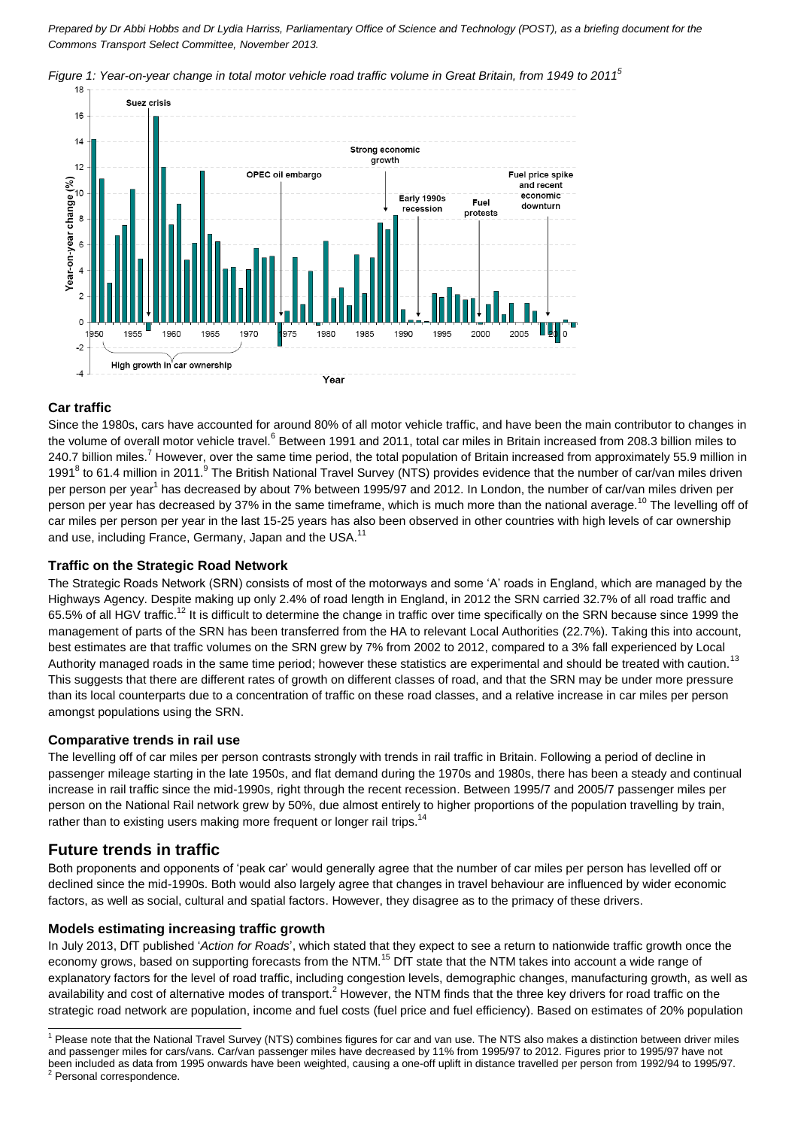

*Figure 1: Year-on-year change in total motor vehicle road traffic volume in Great Britain, from 1949 to 2011<sup>5</sup>*

## **Car traffic**

Since the 1980s, cars have accounted for around 80% of all motor vehicle traffic, and have been the main contributor to changes in the volume of overall motor vehicle travel.<sup>6</sup> Between 1991 and 2011, total car miles in Britain increased from 208.3 billion miles to 240.7 billion miles.<sup>7</sup> However, over the same time period, the total population of Britain increased from approximately 55.9 million in 1991<sup>8</sup> to 61.4 million in 2011. The British National Travel Survey (NTS) provides evidence that the number of car/van miles driven per person per year<sup>1</sup> has decreased by about 7% between 1995/97 and 2012. In London, the number of car/van miles driven per person per year has decreased by 37% in the same timeframe, which is much more than the national average.<sup>10</sup> The levelling off of car miles per person per year in the last 15-25 years has also been observed in other countries with high levels of car ownership and use, including France, Germany, Japan and the USA.<sup>11</sup>

#### **Traffic on the Strategic Road Network**

The Strategic Roads Network (SRN) consists of most of the motorways and some 'A' roads in England, which are managed by the Highways Agency. Despite making up only 2.4% of road length in England, in 2012 the SRN carried 32.7% of all road traffic and 65.5% of all HGV traffic.<sup>12</sup> It is difficult to determine the change in traffic over time specifically on the SRN because since 1999 the management of parts of the SRN has been transferred from the HA to relevant Local Authorities (22.7%). Taking this into account, best estimates are that traffic volumes on the SRN grew by 7% from 2002 to 2012, compared to a 3% fall experienced by Local Authority managed roads in the same time period; however these statistics are experimental and should be treated with caution.<sup>13</sup> This suggests that there are different rates of growth on different classes of road, and that the SRN may be under more pressure than its local counterparts due to a concentration of traffic on these road classes, and a relative increase in car miles per person amongst populations using the SRN.

#### **Comparative trends in rail use**

The levelling off of car miles per person contrasts strongly with trends in rail traffic in Britain. Following a period of decline in passenger mileage starting in the late 1950s, and flat demand during the 1970s and 1980s, there has been a steady and continual increase in rail traffic since the mid-1990s, right through the recent recession. Between 1995/7 and 2005/7 passenger miles per person on the National Rail network grew by 50%, due almost entirely to higher proportions of the population travelling by train, rather than to existing users making more frequent or longer rail trips.<sup>14</sup>

## **Future trends in traffic**

-

Both proponents and opponents of 'peak car' would generally agree that the number of car miles per person has levelled off or declined since the mid-1990s. Both would also largely agree that changes in travel behaviour are influenced by wider economic factors, as well as social, cultural and spatial factors. However, they disagree as to the primacy of these drivers.

#### **Models estimating increasing traffic growth**

In July 2013, DfT published '*Action for Roads*', which stated that they expect to see a return to nationwide traffic growth once the economy grows, based on supporting forecasts from the NTM.<sup>15</sup> DfT state that the NTM takes into account a wide range of explanatory factors for the level of road traffic, including congestion levels, demographic changes, manufacturing growth, as well as availability and cost of alternative modes of transport.<sup>2</sup> However, the NTM finds that the three key drivers for road traffic on the strategic road network are population, income and fuel costs (fuel price and fuel efficiency). Based on estimates of 20% population

<sup>&</sup>lt;sup>1</sup> Please note that the National Travel Survey (NTS) combines figures for car and van use. The NTS also makes a distinction between driver miles and passenger miles for cars/vans. Car/van passenger miles have decreased by 11% from 1995/97 to 2012. Figures prior to 1995/97 have not been included as data from 1995 onwards have been weighted, causing a one-off uplift in distance travelled per person from 1992/94 to 1995/97.<br><sup>2</sup> Personal correspondence.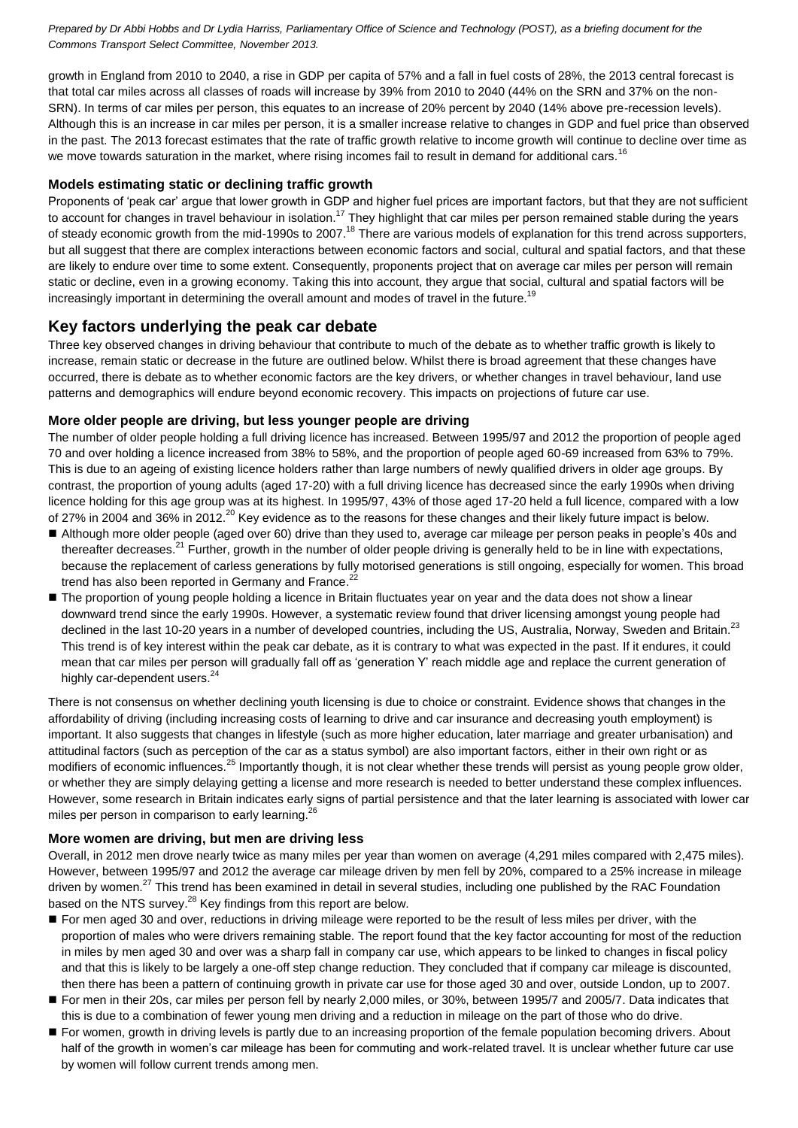growth in England from 2010 to 2040, a rise in GDP per capita of 57% and a fall in fuel costs of 28%, the 2013 central forecast is that total car miles across all classes of roads will increase by 39% from 2010 to 2040 (44% on the SRN and 37% on the non-SRN). In terms of car miles per person, this equates to an increase of 20% percent by 2040 (14% above pre-recession levels). Although this is an increase in car miles per person, it is a smaller increase relative to changes in GDP and fuel price than observed in the past. The 2013 forecast estimates that the rate of traffic growth relative to income growth will continue to decline over time as we move towards saturation in the market, where rising incomes fail to result in demand for additional cars.<sup>16</sup>

#### **Models estimating static or declining traffic growth**

Proponents of 'peak car' argue that lower growth in GDP and higher fuel prices are important factors, but that they are not sufficient to account for changes in travel behaviour in isolation.<sup>17</sup> They highlight that car miles per person remained stable during the years of steady economic growth from the mid-1990s to 2007.<sup>18</sup> There are various models of explanation for this trend across supporters, but all suggest that there are complex interactions between economic factors and social, cultural and spatial factors, and that these are likely to endure over time to some extent. Consequently, proponents project that on average car miles per person will remain static or decline, even in a growing economy. Taking this into account, they argue that social, cultural and spatial factors will be increasingly important in determining the overall amount and modes of travel in the future.<sup>19</sup>

# **Key factors underlying the peak car debate**

Three key observed changes in driving behaviour that contribute to much of the debate as to whether traffic growth is likely to increase, remain static or decrease in the future are outlined below. Whilst there is broad agreement that these changes have occurred, there is debate as to whether economic factors are the key drivers, or whether changes in travel behaviour, land use patterns and demographics will endure beyond economic recovery. This impacts on projections of future car use.

#### **More older people are driving, but less younger people are driving**

The number of older people holding a full driving licence has increased. Between 1995/97 and 2012 the proportion of people aged 70 and over holding a licence increased from 38% to 58%, and the proportion of people aged 60-69 increased from 63% to 79%. This is due to an ageing of existing licence holders rather than large numbers of newly qualified drivers in older age groups. By contrast, the proportion of young adults (aged 17-20) with a full driving licence has decreased since the early 1990s when driving licence holding for this age group was at its highest. In 1995/97, 43% of those aged 17-20 held a full licence, compared with a low of 27% in 2004 and 36% in 2012.<sup>20</sup> Key evidence as to the reasons for these changes and their likely future impact is below.

- Although more older people (aged over 60) drive than they used to, average car mileage per person peaks in people's 40s and thereafter decreases.<sup>21</sup> Further, growth in the number of older people driving is generally held to be in line with expectations, because the replacement of carless generations by fully motorised generations is still ongoing, especially for women. This broad trend has also been reported in Germany and France.<sup>22</sup>
- The proportion of young people holding a licence in Britain fluctuates year on year and the data does not show a linear downward trend since the early 1990s. However, a systematic review found that driver licensing amongst young people had declined in the last 10-20 years in a number of developed countries, including the US, Australia, Norway, Sweden and Britain.<sup>23</sup> This trend is of key interest within the peak car debate, as it is contrary to what was expected in the past. If it endures, it could mean that car miles per person will gradually fall off as 'generation Y' reach middle age and replace the current generation of highly car-dependent users.<sup>24</sup>

There is not consensus on whether declining youth licensing is due to choice or constraint. Evidence shows that changes in the affordability of driving (including increasing costs of learning to drive and car insurance and decreasing youth employment) is important. It also suggests that changes in lifestyle (such as more higher education, later marriage and greater urbanisation) and attitudinal factors (such as perception of the car as a status symbol) are also important factors, either in their own right or as modifiers of economic influences.<sup>25</sup> Importantly though, it is not clear whether these trends will persist as young people grow older, or whether they are simply delaying getting a license and more research is needed to better understand these complex influences. However, some research in Britain indicates early signs of partial persistence and that the later learning is associated with lower car miles per person in comparison to early learning.<sup>26</sup>

#### **More women are driving, but men are driving less**

Overall, in 2012 men drove nearly twice as many miles per year than women on average (4,291 miles compared with 2,475 miles). However, between 1995/97 and 2012 the average car mileage driven by men fell by 20%, compared to a 25% increase in mileage driven by women.<sup>27</sup> This trend has been examined in detail in several studies, including one published by the RAC Foundation based on the NTS survey.<sup>28</sup> Key findings from this report are below.

- For men aged 30 and over, reductions in driving mileage were reported to be the result of less miles per driver, with the proportion of males who were drivers remaining stable. The report found that the key factor accounting for most of the reduction in miles by men aged 30 and over was a sharp fall in company car use, which appears to be linked to changes in fiscal policy and that this is likely to be largely a one-off step change reduction. They concluded that if company car mileage is discounted, then there has been a pattern of continuing growth in private car use for those aged 30 and over, outside London, up to 2007.
- For men in their 20s, car miles per person fell by nearly 2,000 miles, or 30%, between 1995/7 and 2005/7. Data indicates that this is due to a combination of fewer young men driving and a reduction in mileage on the part of those who do drive.
- For women, growth in driving levels is partly due to an increasing proportion of the female population becoming drivers. About half of the growth in women's car mileage has been for commuting and work-related travel. It is unclear whether future car use by women will follow current trends among men.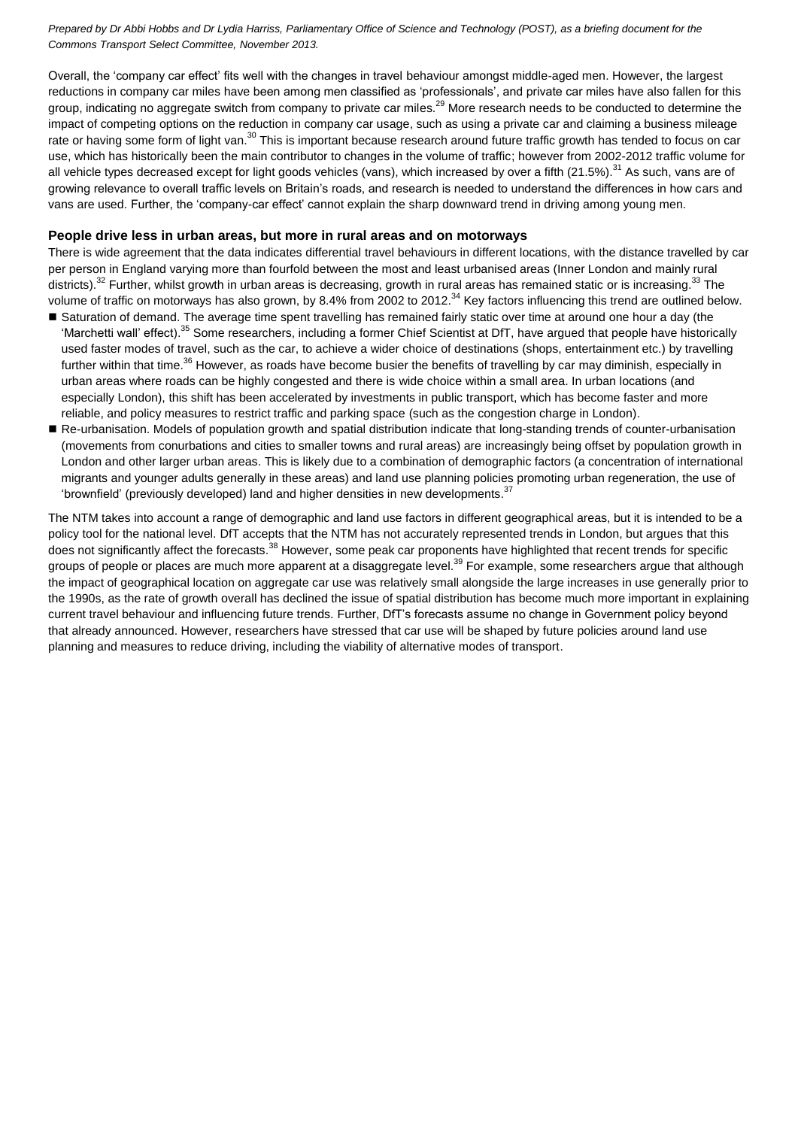Overall, the 'company car effect' fits well with the changes in travel behaviour amongst middle-aged men. However, the largest reductions in company car miles have been among men classified as 'professionals', and private car miles have also fallen for this group, indicating no aggregate switch from company to private car miles.<sup>29</sup> More research needs to be conducted to determine the impact of competing options on the reduction in company car usage, such as using a private car and claiming a business mileage rate or having some form of light van.<sup>30</sup> This is important because research around future traffic growth has tended to focus on car use, which has historically been the main contributor to changes in the volume of traffic; however from 2002-2012 traffic volume for all vehicle types decreased except for light goods vehicles (vans), which increased by over a fifth (21.5%).<sup>31</sup> As such, vans are of growing relevance to overall traffic levels on Britain's roads, and research is needed to understand the differences in how cars and vans are used. Further, the 'company-car effect' cannot explain the sharp downward trend in driving among young men.

#### **People drive less in urban areas, but more in rural areas and on motorways**

There is wide agreement that the data indicates differential travel behaviours in different locations, with the distance travelled by car per person in England varying more than fourfold between the most and least urbanised areas (Inner London and mainly rural districts).<sup>32</sup> Further, whilst growth in urban areas is decreasing, growth in rural areas has remained static or is increasing.<sup>33</sup> The volume of traffic on motorways has also grown, by 8.4% from 2002 to 2012.<sup>34</sup> Key factors influencing this trend are outlined below.

- Saturation of demand. The average time spent travelling has remained fairly static over time at around one hour a day (the 'Marchetti wall' effect).<sup>35</sup> Some researchers, including a former Chief Scientist at DfT, have argued that people have historically used faster modes of travel, such as the car, to achieve a wider choice of destinations (shops, entertainment etc.) by travelling further within that time.<sup>36</sup> However, as roads have become busier the benefits of travelling by car may diminish, especially in urban areas where roads can be highly congested and there is wide choice within a small area. In urban locations (and especially London), this shift has been accelerated by investments in public transport, which has become faster and more reliable, and policy measures to restrict traffic and parking space (such as the congestion charge in London).
- Re-urbanisation. Models of population growth and spatial distribution indicate that long-standing trends of counter-urbanisation (movements from conurbations and cities to smaller towns and rural areas) are increasingly being offset by population growth in London and other larger urban areas. This is likely due to a combination of demographic factors (a concentration of international migrants and younger adults generally in these areas) and land use planning policies promoting urban regeneration, the use of 'brownfield' (previously developed) land and higher densities in new developments. $37$

The NTM takes into account a range of demographic and land use factors in different geographical areas, but it is intended to be a policy tool for the national level. DfT accepts that the NTM has not accurately represented trends in London, but argues that this does not significantly affect the forecasts.<sup>38</sup> However, some peak car proponents have highlighted that recent trends for specific groups of people or places are much more apparent at a disaggregate level.<sup>39</sup> For example, some researchers argue that although the impact of geographical location on aggregate car use was relatively small alongside the large increases in use generally prior to the 1990s, as the rate of growth overall has declined the issue of spatial distribution has become much more important in explaining current travel behaviour and influencing future trends. Further, DfT's forecasts assume no change in Government policy beyond that already announced. However, researchers have stressed that car use will be shaped by future policies around land use planning and measures to reduce driving, including the viability of alternative modes of transport.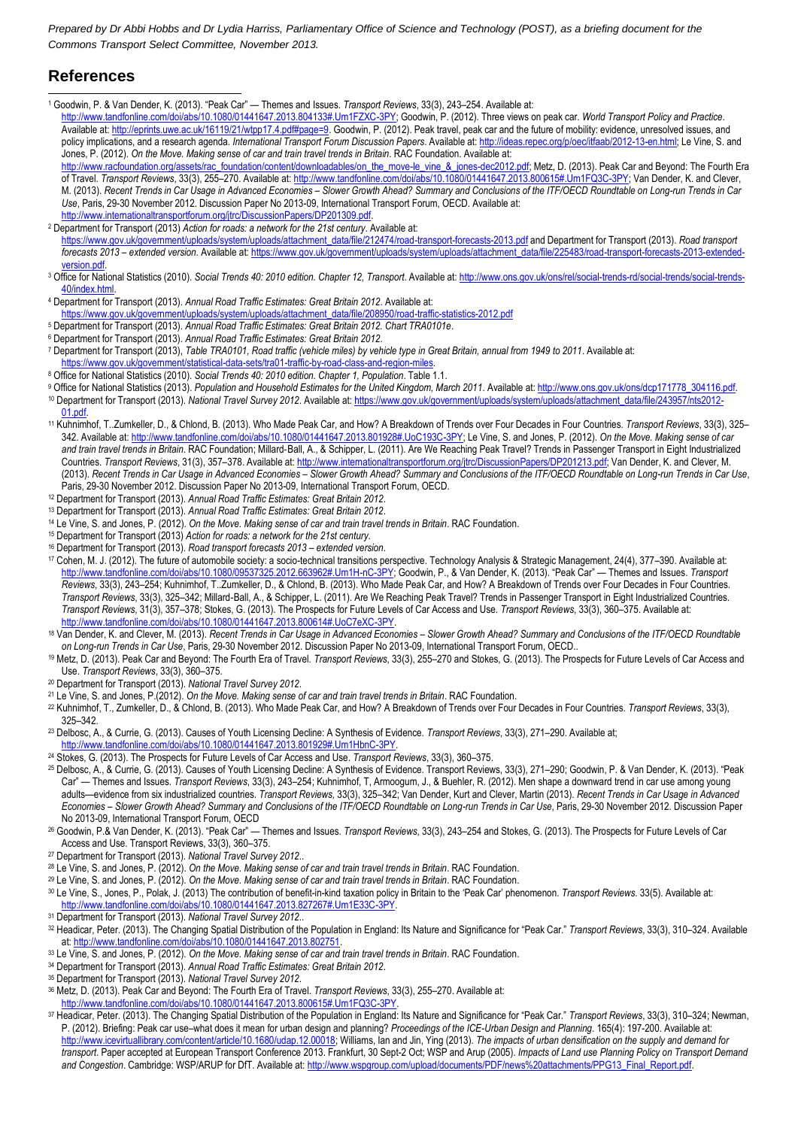# **References**

-<sup>1</sup> Goodwin, P. & Van Dender, K. (2013). "Peak Car" — Themes and Issues. *Transport Reviews*, 33(3), 243–254. Available at:

[http://www.tandfonline.com/doi/abs/10.1080/01441647.2013.804133#.Um1FZXC-3PY;](http://www.tandfonline.com/doi/abs/10.1080/01441647.2013.804133#.Um1FZXC-3PY) Goodwin, P. (2012). Three views on peak car. *World Transport Policy and Practice*. Available at[: http://eprints.uwe.ac.uk/16119/21/wtpp17.4.pdf#page=9.](http://eprints.uwe.ac.uk/16119/21/wtpp17.4.pdf#page=9) Goodwin, P. (2012). Peak travel, peak car and the future of mobility: evidence, unresolved issues, and policy implications, and a research agenda. *International Transport Forum Discussion Papers*. Available at[: http://ideas.repec.org/p/oec/itfaab/2012-13-en.html;](http://ideas.repec.org/p/oec/itfaab/2012-13-en.html) Le Vine, S. and Jones, P. (2012). *On the Move. Making sense of car and train travel trends in Britain*. RAC Foundation. Available at:

[http://www.racfoundation.org/assets/rac\\_foundation/content/downloadables/on\\_the\\_move-le\\_vine\\_&\\_jones-dec2012.pdf;](http://www.racfoundation.org/assets/rac_foundation/content/downloadables/on_the_move-le_vine_&_jones-dec2012.pdf) Metz, D. (2013). Peak Car and Beyond: The Fourth Era of Travel. *Transport Reviews*, 33(3), 255–270. Available at[: http://www.tandfonline.com/doi/abs/10.1080/01441647.2013.800615#.Um1FQ3C-3PY;](http://www.tandfonline.com/doi/abs/10.1080/01441647.2013.800615#.Um1FQ3C-3PY) Van Dender, K. and Clever, M. (2013). Recent Trends in Car Usage in Advanced Economies - Slower Growth Ahead? Summary and Conclusions of the ITF/OECD Roundtable on Long-run Trends in Car *Use*, Paris, 29-30 November 2012. Discussion Paper No 2013-09, International Transport Forum, OECD. Available at: [http://www.internationaltransportforum.org/jtrc/DiscussionPapers/DP201309.pdf.](http://www.internationaltransportforum.org/jtrc/DiscussionPapers/DP201309.pdf) 

<sup>2</sup> Department for Transport (2013) *Action for roads: a network for the 21st century*. Available at:

[https://www.gov.uk/government/uploads/system/uploads/attachment\\_data/file/212474/road-transport-forecasts-2013.pdf](https://www.gov.uk/government/uploads/system/uploads/attachment_data/file/212474/road-transport-forecasts-2013.pdf) and Department for Transport (2013). *Road transport forecasts 2013 – extended version.* Available at[: https://www.gov.uk/government/uploads/system/uploads/attachment\\_data/file/225483/road-transport-forecasts-2013-extended](https://www.gov.uk/government/uploads/system/uploads/attachment_data/file/225483/road-transport-forecasts-2013-extended-version.pdf)version.pdf

- <sup>3</sup> Office for National Statistics (2010). *Social Trends 40: 2010 edition. Chapter 12, Transport*. Available at[: http://www.ons.gov.uk/ons/rel/social-trends-rd/social-trends/social-trends-](http://www.ons.gov.uk/ons/rel/social-trends-rd/social-trends/social-trends-40/index.html)[40/index.html.](http://www.ons.gov.uk/ons/rel/social-trends-rd/social-trends/social-trends-40/index.html)
- <sup>4</sup> Department for Transport (2013). *Annual Road Traffic Estimates: Great Britain 2012*. Available at: emment/uploads/system/uploads/attachment\_data/file/208
- <sup>5</sup> Department for Transport (2013). *Annual Road Traffic Estimates: Great Britain 2012. Chart TRA0101e*.
- <sup>6</sup> Department for Transport (2013). *Annual Road Traffic Estimates: Great Britain 2012*.
- <sup>7</sup> Department for Transport (2013), *Table TRA0101, Road traffic (vehicle miles) by vehicle type in Great Britain, annual from 1949 to 2011*. Available at: https://www.gov.uk/government/statistical-data-sets/tra01-traffic-by-road-class-and-region
- <sup>8</sup> Office for National Statistics (2010). *Social Trends 40: 2010 edition. Chapter 1, Population*. Table 1.1.
- 9 Office for National Statistics (2013). Population and Household Estimates for the United Kingdom, March 2011. Available at[: http://www.ons.gov.uk/ons/dcp171778\\_304116.pdf.](http://www.ons.gov.uk/ons/dcp171778_304116.pdf) 10 Department for Transport (2013). National Travel Survey 2012. Available at[: https://www.gov.uk/government/uploads/system/uploads/attachment\\_data/file/243957/nts2012-](https://www.gov.uk/government/uploads/system/uploads/attachment_data/file/243957/nts2012-01.pdf)
- [01.pdf.](https://www.gov.uk/government/uploads/system/uploads/attachment_data/file/243957/nts2012-01.pdf) <sup>11</sup> Kuhnimhof, T..Zumkeller, D., & Chlond, B. (2013). Who Made Peak Car, and How? A Breakdown of Trends over Four Decades in Four Countries. *Transport Reviews*, 33(3), 325– 342. Available at[: http://www.tandfonline.com/doi/abs/10.1080/01441647.2013.801928#.UoC193C-3PY;](http://www.tandfonline.com/doi/abs/10.1080/01441647.2013.801928#.UoC193C-3PY) Le Vine, S. and Jones, P. (2012). *On the Move. Making sense of car*  and train travel trends in Britain. RAC Foundation; Millard-Ball, A., & Schipper, L. (2011). Are We Reaching Peak Travel? Trends in Passenger Transport in Eight Industrialized Countries. *Transport Reviews*, 31(3), 357–378. Available at[: http://www.internationaltransportforum.org/jtrc/DiscussionPapers/DP201213.pdf;](http://www.internationaltransportforum.org/jtrc/DiscussionPapers/DP201213.pdf) Van Dender, K. and Clever, M. (2013). *Recent Trends in Car Usage in Advanced Economies – Slower Growth Ahead? Summary and Conclusions of the ITF/OECD Roundtable on Long-run Trends in Car Use*, Paris, 29-30 November 2012. Discussion Paper No 2013-09, International Transport Forum, OECD.
- <sup>12</sup> Department for Transport (2013). *Annual Road Traffic Estimates: Great Britain 2012*.
- <sup>13</sup> Department for Transport (2013). *Annual Road Traffic Estimates: Great Britain 2012*.
- <sup>14</sup> Le Vine, S. and Jones, P. (2012). *On the Move. Making sense of car and train travel trends in Britain*. RAC Foundation.
- <sup>15</sup> Department for Transport (2013) *Action for roads: a network for the 21st century*.
- <sup>16</sup> Department for Transport (2013). *Road transport forecasts 2013 – extended version*.
- <sup>17</sup> Cohen, M. J. (2012). The future of automobile society: a socio-technical transitions perspective. Technology Analysis & Strategic Management, 24(4), 377–390. Available at: [http://www.tandfonline.com/doi/abs/10.1080/09537325.2012.663962#.Um1H-nC-3PY;](http://www.tandfonline.com/doi/abs/10.1080/09537325.2012.663962#.Um1H-nC-3PY) Goodwin, P., & Van Dender, K. (2013). "Peak Car" — Themes and Issues. *Transport Reviews*, 33(3), 243–254; Kuhnimhof, T..Zumkeller, D., & Chlond, B. (2013). Who Made Peak Car, and How? A Breakdown of Trends over Four Decades in Four Countries. *Transport Reviews*, 33(3), 325–342; Millard‐Ball, A., & Schipper, L. (2011). Are We Reaching Peak Travel? Trends in Passenger Transport in Eight Industrialized Countries. *Transport Reviews*, 31(3), 357–378; Stokes, G. (2013). The Prospects for Future Levels of Car Access and Use. *Transport Reviews*, 33(3), 360–375. Available at: [http://www.tandfonline.com/doi/abs/10.1080/01441647.2013.800614#.UoC7eXC-3PY.](http://www.tandfonline.com/doi/abs/10.1080/01441647.2013.800614#.UoC7eXC-3PY)
- <sup>18</sup> Van Dender, K. and Clever, M. (2013). *Recent Trends in Car Usage in Advanced Economies Slower Growth Ahead? Summary and Conclusions of the ITF/OECD Roundtable on Long-run Trends in Car Use*, Paris, 29-30 November 2012. Discussion Paper No 2013-09, International Transport Forum, OECD..
- <sup>19</sup> Metz, D. (2013). Peak Car and Beyond: The Fourth Era of Travel. *Transport Reviews*, 33(3), 255–270 and Stokes, G. (2013). The Prospects for Future Levels of Car Access and Use. *Transport Reviews*, 33(3), 360–375.
- <sup>20</sup> Department for Transport (2013). *National Travel Survey 2012*.
- <sup>21</sup> Le Vine, S. and Jones, P.(2012). *On the Move. Making sense of car and train travel trends in Britain*. RAC Foundation.
- <sup>22</sup> Kuhnimhof, T., Zumkeller, D., & Chlond, B. (2013). Who Made Peak Car, and How? A Breakdown of Trends over Four Decades in Four Countries. *Transport Reviews*, 33(3), 325–342.
- <sup>23</sup> Delbosc, A., & Currie, G. (2013). Causes of Youth Licensing Decline: A Synthesis of Evidence. *Transport Reviews*, 33(3), 271–290. Available at; [http://www.tandfonline.com/doi/abs/10.1080/01441647.2013.801929#.Um1HbnC-3PY.](http://www.tandfonline.com/doi/abs/10.1080/01441647.2013.801929#.Um1HbnC-3PY)
- <sup>24</sup> Stokes, G. (2013). The Prospects for Future Levels of Car Access and Use. *Transport Reviews*, 33(3), 360–375.
- <sup>25</sup> Delbosc, A., & Currie, G. (2013). Causes of Youth Licensing Decline: A Synthesis of Evidence. Transport Reviews, 33(3), 271–290; Goodwin, P. & Van Dender, K. (2013). "Peak Car" — Themes and Issues. *Transport Reviews*, 33(3), 243–254; Kuhnimhof, T, Armoogum, J., & Buehler, R. (2012). Men shape a downward trend in car use among young adults—evidence from six industrialized countries. *Transport Reviews,* 33(3), 325–342; Van Dender, Kurt and Clever, Martin (2013). *Recent Trends in Car Usage in Advanced Economies – Slower Growth Ahead? Summary and Conclusions of the ITF/OECD Roundtable on Long-run Trends in Car Use*, Paris, 29-30 November 2012. Discussion Paper No 2013-09, International Transport Forum, OECD
- <sup>26</sup> Goodwin, P.& Van Dender, K. (2013). "Peak Car" Themes and Issues. *Transport Reviews*, 33(3), 243–254 and Stokes, G. (2013). The Prospects for Future Levels of Car Access and Use. Transport Reviews, 33(3), 360–375.
- <sup>27</sup> Department for Transport (2013). *National Travel Survey 2012*..
- <sup>28</sup> Le Vine, S. and Jones, P. (2012). *On the Move. Making sense of car and train travel trends in Britain*. RAC Foundation.
- <sup>29</sup> Le Vine, S. and Jones, P. (2012). *On the Move. Making sense of car and train travel trends in Britain*. RAC Foundation.
- <sup>30</sup> Le Vine, S., Jones, P., Polak, J. (2013) The contribution of benefit-in-kind taxation policy in Britain to the 'Peak Car' phenomenon. *Transport Reviews*. 33(5). Available at: [http://www.tandfonline.com/doi/abs/10.1080/01441647.2013.827267#.Um1E33C-3PY.](http://www.tandfonline.com/doi/abs/10.1080/01441647.2013.827267#.Um1E33C-3PY)
- <sup>31</sup> Department for Transport (2013). *National Travel Survey 2012*..
- <sup>32</sup> Headicar, Peter. (2013). The Changing Spatial Distribution of the Population in England: Its Nature and Significance for "Peak Car." *Transport Reviews*, 33(3), 310–324. Available at[: http://www.tandfonline.com/doi/abs/10.1080/01441647.2013.802751.](http://www.tandfonline.com/doi/abs/10.1080/01441647.2013.802751)
- <sup>33</sup> Le Vine, S. and Jones, P. (2012). *On the Move. Making sense of car and train travel trends in Britain*. RAC Foundation.
- <sup>34</sup> Department for Transport (2013). *Annual Road Traffic Estimates: Great Britain 2012*.
- <sup>35</sup> Department for Transport (2013). *National Travel Survey 2012*.
- <sup>36</sup> Metz, D. (2013). Peak Car and Beyond: The Fourth Era of Travel. *Transport Reviews*, 33(3), 255–270. Available at:
- [http://www.tandfonline.com/doi/abs/10.1080/01441647.2013.800615#.Um1FQ3C-3PY.](http://www.tandfonline.com/doi/abs/10.1080/01441647.2013.800615#.Um1FQ3C-3PY)
- <sup>37</sup> Headicar, Peter. (2013). The Changing Spatial Distribution of the Population in England: Its Nature and Significance for "Peak Car." *Transport Reviews*, 33(3), 310–324; Newman, P. (2012). Briefing: Peak car use–what does it mean for urban design and planning? *Proceedings of the ICE-Urban Design and Planning*. 165(4): 197-200. Available at: w.icevirtuallibrary.com/content/article/10.1680/udap.12.00018; Williams, Ian and Jin, Ying (2013). The impacts of urban densification on the supply and demand for *transport*. Paper accepted at European Transport Conference 2013. Frankfurt, 30 Sept-2 Oct; WSP and Arup (2005). *Impacts of Land use Planning Policy on Transport Demand and Congestion*. Cambridge: WSP/ARUP for DfT. Available at[: http://www.wspgroup.com/upload/documents/PDF/news%20attachments/PPG13\\_Final\\_Report.pdf.](http://www.wspgroup.com/upload/documents/PDF/news%20attachments/PPG13_Final_Report.pdf)